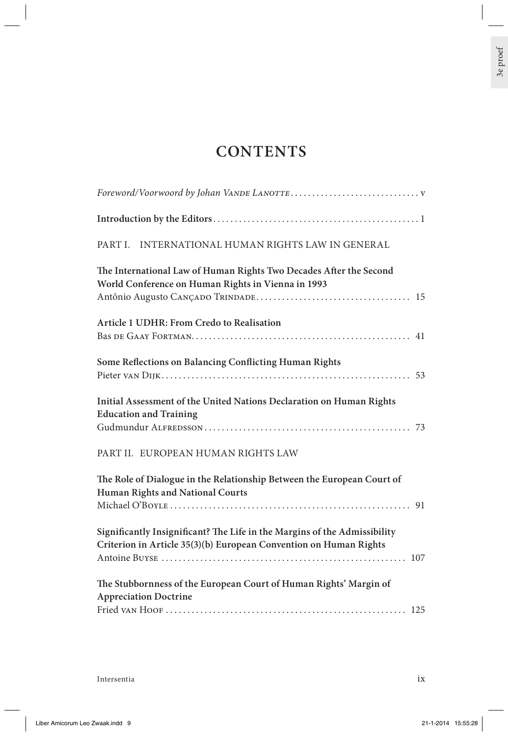## **CONTENTS**

| INTERNATIONAL HUMAN RIGHTS LAW IN GENERAL<br>PART I.                                                                                           |
|------------------------------------------------------------------------------------------------------------------------------------------------|
| The International Law of Human Rights Two Decades After the Second<br>World Conference on Human Rights in Vienna in 1993                       |
| Article 1 UDHR: From Credo to Realisation                                                                                                      |
| Some Reflections on Balancing Conflicting Human Rights                                                                                         |
| Initial Assessment of the United Nations Declaration on Human Rights<br><b>Education and Training</b>                                          |
| PART II. EUROPEAN HUMAN RIGHTS LAW                                                                                                             |
| The Role of Dialogue in the Relationship Between the European Court of<br>Human Rights and National Courts                                     |
| Significantly Insignificant? The Life in the Margins of the Admissibility<br>Criterion in Article 35(3)(b) European Convention on Human Rights |
| The Stubbornness of the European Court of Human Rights' Margin of<br><b>Appreciation Doctrine</b>                                              |
|                                                                                                                                                |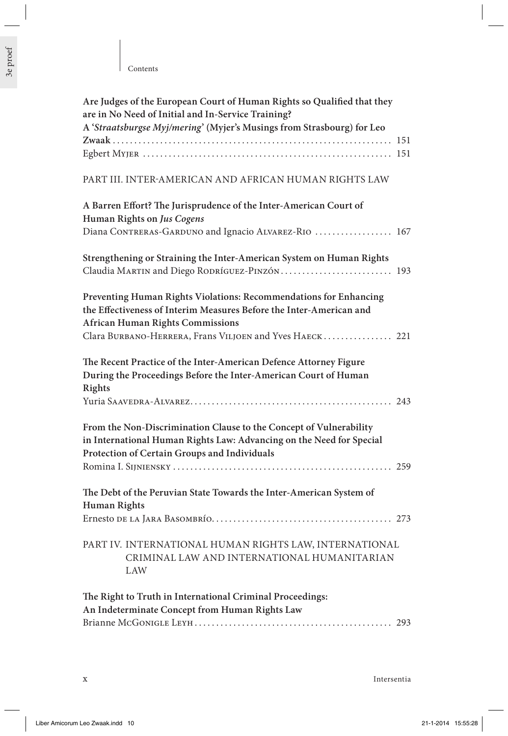| Are Judges of the European Court of Human Rights so Qualified that they<br>are in No Need of Initial and In-Service Training?<br>A 'Straatsburgse Myj/mering' (Myjer's Musings from Strasbourg) for Leo |
|---------------------------------------------------------------------------------------------------------------------------------------------------------------------------------------------------------|
|                                                                                                                                                                                                         |
| PART III. INTER-AMERICAN AND AFRICAN HUMAN RIGHTS LAW                                                                                                                                                   |
| A Barren Effort? The Jurisprudence of the Inter-American Court of<br>Human Rights on Jus Cogens<br>Diana CONTRERAS-GARDUNO and Ignacio ALVAREZ-RIO  167                                                 |
| Strengthening or Straining the Inter-American System on Human Rights<br>Claudia MARTIN and Diego RODRÍGUEZ-PINZÓN 193                                                                                   |
| Preventing Human Rights Violations: Recommendations for Enhancing<br>the Effectiveness of Interim Measures Before the Inter-American and<br><b>African Human Rights Commissions</b>                     |
| Clara BURBANO-HERRERA, Frans VILJOEN and Yves HAECK 221                                                                                                                                                 |
| The Recent Practice of the Inter-American Defence Attorney Figure<br>During the Proceedings Before the Inter-American Court of Human<br><b>Rights</b>                                                   |
|                                                                                                                                                                                                         |
| From the Non-Discrimination Clause to the Concept of Vulnerability<br>in International Human Rights Law: Advancing on the Need for Special<br>Protection of Certain Groups and Individuals              |
|                                                                                                                                                                                                         |
| The Debt of the Peruvian State Towards the Inter-American System of<br><b>Human Rights</b>                                                                                                              |
| PART IV. INTERNATIONAL HUMAN RIGHTS LAW, INTERNATIONAL<br>CRIMINAL LAW AND INTERNATIONAL HUMANITARIAN<br>LAW                                                                                            |
| The Right to Truth in International Criminal Proceedings:<br>An Indeterminate Concept from Human Rights Law                                                                                             |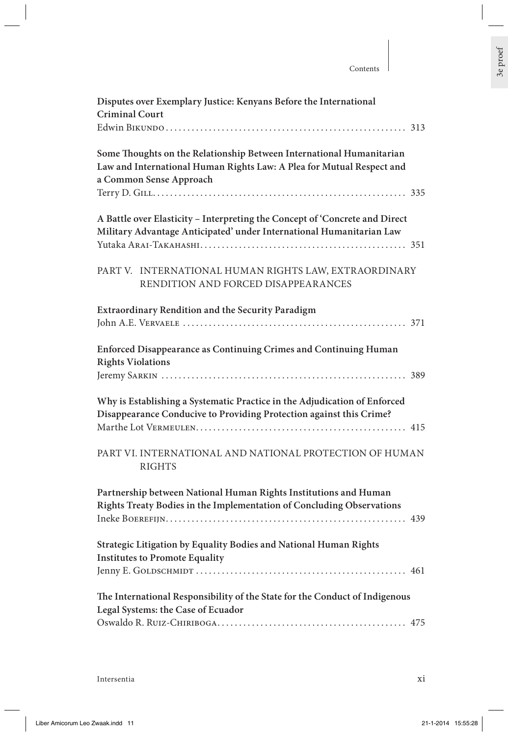## Contents

| Disputes over Exemplary Justice: Kenyans Before the International<br><b>Criminal Court</b>                                                                               |
|--------------------------------------------------------------------------------------------------------------------------------------------------------------------------|
|                                                                                                                                                                          |
| Some Thoughts on the Relationship Between International Humanitarian<br>Law and International Human Rights Law: A Plea for Mutual Respect and<br>a Common Sense Approach |
| A Battle over Elasticity - Interpreting the Concept of 'Concrete and Direct<br>Military Advantage Anticipated' under International Humanitarian Law                      |
| PART V. INTERNATIONAL HUMAN RIGHTS LAW, EXTRAORDINARY<br>RENDITION AND FORCED DISAPPEARANCES                                                                             |
| <b>Extraordinary Rendition and the Security Paradigm</b>                                                                                                                 |
| Enforced Disappearance as Continuing Crimes and Continuing Human<br><b>Rights Violations</b>                                                                             |
| Why is Establishing a Systematic Practice in the Adjudication of Enforced<br>Disappearance Conducive to Providing Protection against this Crime?                         |
| PART VI. INTERNATIONAL AND NATIONAL PROTECTION OF HUMAN<br><b>RIGHTS</b>                                                                                                 |
| Partnership between National Human Rights Institutions and Human<br>Rights Treaty Bodies in the Implementation of Concluding Observations                                |
| Strategic Litigation by Equality Bodies and National Human Rights<br><b>Institutes to Promote Equality</b>                                                               |
| The International Responsibility of the State for the Conduct of Indigenous<br>Legal Systems: the Case of Ecuador                                                        |